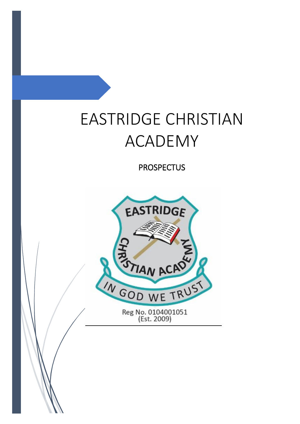# EASTRIDGE CHRISTIAN ACADEMY

**PROSPECTUS** 

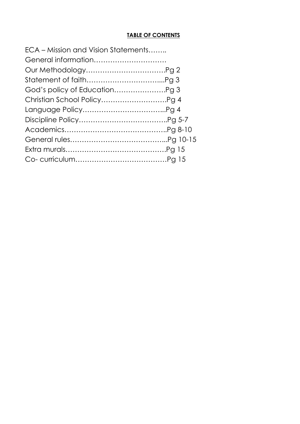#### **TABLE OF CONTENTS**

| ECA – Mission and Vision Statements |  |
|-------------------------------------|--|
| General information                 |  |
|                                     |  |
|                                     |  |
|                                     |  |
|                                     |  |
|                                     |  |
|                                     |  |
|                                     |  |
|                                     |  |
|                                     |  |
|                                     |  |
|                                     |  |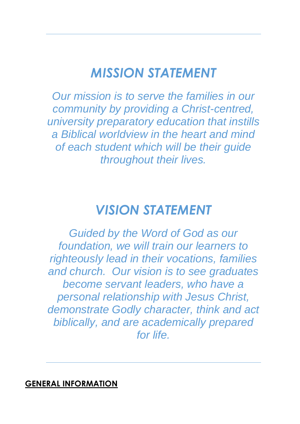## *MISSION STATEMENT*

*Our mission is to serve the families in our community by providing a Christ-centred, university preparatory education that instills a Biblical worldview in the heart and mind of each student which will be their guide throughout their lives.*

## *VISION STATEMENT*

*Guided by the Word of God as our foundation, we will train our learners to righteously lead in their vocations, families and church. Our vision is to see graduates become servant leaders, who have a personal relationship with Jesus Christ, demonstrate Godly character, think and act biblically, and are academically prepared for life.* 

### **GENERAL INFORMATION**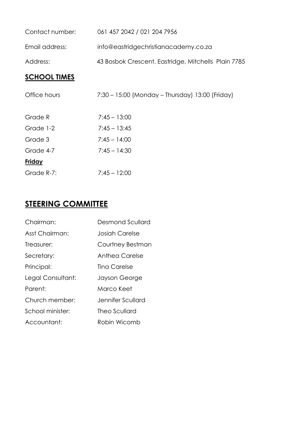| Contact number:     | 061 457 2042 / 021 204 7956                         |
|---------------------|-----------------------------------------------------|
| Email address:      | info@eastridgechristianacademy.co.za                |
| Address:            | 43 Bosbok Crescent, Eastridge, Mitchells Plain 7785 |
| <b>SCHOOL TIMES</b> |                                                     |
| Office hours        | 7:30 – 15:00 (Monday – Thursday) 13:00 (Friday)     |
| Grade R             | $7:45 - 13:00$                                      |
| Grade 1-2           | $7:45 - 13:45$                                      |
| Grade 3             | $7:45 - 14:00$                                      |
| Grade 4-7           | $7:45 - 14:30$                                      |

| Friday     |                |
|------------|----------------|
| Grade R-7: | $7:45 - 12:00$ |

## **STEERING COMMITTEE**

| Chairman:         | Desmond Scullard  |
|-------------------|-------------------|
| Asst Chairman:    | Josiah Carelse    |
| Treasurer:        | Courtney Bestman  |
| Secretary:        | Anthea Carelse    |
| Principal:        | Ting Carelse      |
| Legal Consultant: | Jayson George     |
| Parent:           | Marco Keet        |
| Church member:    | Jennifer Scullard |
| School minister:  | Theo Scullard     |
| Accountant:       | Robin Wicomb      |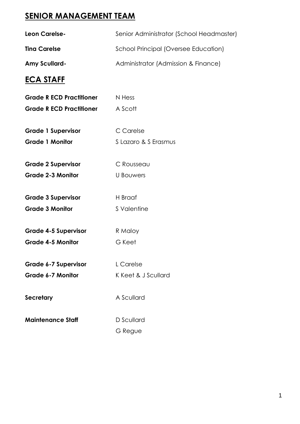## **SENIOR MANAGEMENT TEAM**

| Leon Carelse-                   | Senior Administrator (School Headmaster) |
|---------------------------------|------------------------------------------|
| <b>Tina Carelse</b>             | School Principal (Oversee Education)     |
| <b>Amy Scullard-</b>            | Administrator (Admission & Finance)      |
| <b>ECA STAFF</b>                |                                          |
| <b>Grade R ECD Practitioner</b> | N Hess                                   |
| <b>Grade R ECD Practitioner</b> | A Scott                                  |
| <b>Grade 1 Supervisor</b>       | C Carelse                                |
| <b>Grade 1 Monitor</b>          | S Lazaro & S Erasmus                     |
| <b>Grade 2 Supervisor</b>       | C Rousseau                               |
| <b>Grade 2-3 Monitor</b>        | U Bouwers                                |
| <b>Grade 3 Supervisor</b>       | H Braaf                                  |
| <b>Grade 3 Monitor</b>          | S Valentine                              |
| <b>Grade 4-5 Supervisor</b>     | R Maloy                                  |
| <b>Grade 4-5 Monitor</b>        | G Keet                                   |
| <b>Grade 6-7 Supervisor</b>     | L Carelse                                |
| <b>Grade 6-7 Monitor</b>        | K Keet & J Scullard                      |
| <b>Secretary</b>                | A Scullard                               |
| <b>Maintenance Staff</b>        | D Scullard                               |
|                                 | G Regue                                  |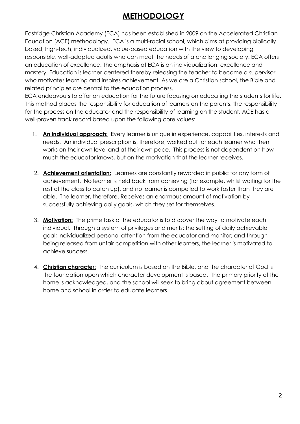### **METHODOLOGY**

Eastridge Christian Academy (ECA) has been established in 2009 on the Accelerated Christian Education (ACE) methodology. ECA is a multi-racial school, which aims at providing biblically based, high-tech, individualized, value-based education with the view to developing responsible, well-adapted adults who can meet the needs of a challenging society. ECA offers an education of excellence. The emphasis at ECA is on individualization, excellence and mastery. Education is learner-centered thereby releasing the teacher to become a supervisor who motivates learning and inspires achievement. As we are a Christian school, the Bible and related principles are central to the education process.

ECA endeavours to offer an education for the future focusing on educating the students for life. This method places the responsibility for education of learners on the parents, the responsibility for the process on the educator and the responsibility of learning on the student. ACE has a well-proven track record based upon the following core values:

- 1. **An individual approach:** Every learner is unique in experience, capabilities, interests and needs. An individual prescription is, therefore, worked out for each learner who then works on their own level and at their own pace. This process is not dependent on how much the educator knows, but on the motivation that the learner receives.
- 2. **Achievement orientation:** Learners are constantly rewarded in public for any form of achievement. No learner is held back from achieving (for example, whilst waiting for the rest of the class to catch up), and no learner is compelled to work faster than they are able. The learner, therefore. Receives an enormous amount of motivation by successfully achieving daily goals, which they set for themselves.
- 3. **Motivation:** The prime task of the educator is to discover the way to motivate each individual. Through a system of privileges and merits; the setting of daily achievable goal; individualized personal attention from the educator and monitor; and through being released from unfair competition with other learners, the learner is motivated to achieve success.
- 4. **Christian character:** The curriculum is based on the Bible, and the character of God is the foundation upon which character development is based. The primary priority of the home is acknowledged, and the school will seek to bring about agreement between home and school in order to educate learners.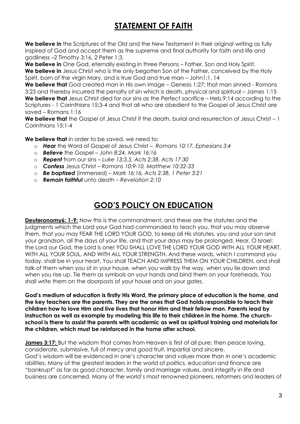## **STATEMENT OF FAITH**

**We believe in** the Scriptures of the Old and the New Testament in their original writing as fully inspired of God and accept them as the supreme and final authority for faith and life and godliness –2 Timothy 3:16, 2 Peter 1:3.

We believe in One God, eternally existing in three Persons – Father, Son and Holy Spirit.

**We believe in** Jesus Christ who is the only begotten Son of the Father, conceived by the Holy Spirit, born of the virgin Mary, and is true God and true man – John1:1, 14

**We believe that** God created man in His own image – Genesis 1:27; that man sinned - Romans 3:23 and thereby incurred the penalty of sin which is death, physical and spiritual – James 1:15 We believe that Jesus Christ died for our sins as the Perfect sacrifice – Heb.9:14 according to the Scriptures - 1 Corinthians 15:3-4 and that all who are obedient to the Gospel of Jesus Christ are saved – Romans 1:16

**We believe that** the Gospel of Jesus Christ if the death, burial and resurrection of Jesus Christ – 1 Corinthians 15:1-4

**We believe that** in order to be saved, we need to:

- o *Hear* the Word of Gospel of Jesus Christ *Romans 10:17, Ephesians 3:4*
- o *Believe* the Gospel *John 8:24, Mark 16:16*
- o *Repent* from our sins *Luke 13:3,5, Acts 2:38, Acts 17:30*
- o *Confess* Jesus Christ *Romans 10:9-10, Matthew 10:32-33*
- o *Be baptized* (immersed) *Mark 16:16, Acts 2:38, 1 Peter 3:21*
- o *Remain faithful* unto death *Revelation 2:10*

### **GOD'S POLICY ON EDUCATION**

**Deuteronomy6: 1-9:** Now this is the commandment, and these are the statutes and the judgments which the Lord your God had commanded to teach you, that you may observe them, that you may FEAR THE LORD YOUR GOD, to keep all His statutes, you and your son and your grandson, all the days of your life, and that your days may be prolonged. Hear, O Israel: the Lord our God, the Lord is one! YOU SHALL LOVE THE LORD YOUR GOD WITH ALL YOUR HEART, WITH ALL YOUR SOUL, AND WITH ALL YOUR STRENGTH. And these words, which I command you today, shall be in your heart. You shall TEACH AND IMPRESS THEM ON YOUR CHILDREN, and shall talk of them when you sit in your house, when you walk by the way, when you lie down and when you rise up. Tie them as symbols on your hands and bind them on your foreheads. You shall write them on the doorposts of your house and on your gates.

**God's medium of education is firstly His Word, the primary place of education is the home, and the key teachers are the parents. They are the ones that God holds responsible to teach their children how to love Him and live lives that honor Him and their fellow man. Parents lead by instruction as well as example by modeling this life to their children in the home. The churchschool is there to assist the parents with academic as well as spiritual training and materials for the children, which must be reinforced in the home after school.**

**James 3:17:** But the wisdom that comes from Heaven is first of all pure: then peace loving, considerate, submissive, full of mercy and good fruit, impartial and sincere. God's wisdom will be evidenced in one's character and values more than in one's academic abilities. Many of the greatest leaders in the world of politics, education and finance are "bankrupt" as far as good character, family and marriage values, and integrity in life and business are concerned. Many of the world's most renowned pioneers, reformers and leaders of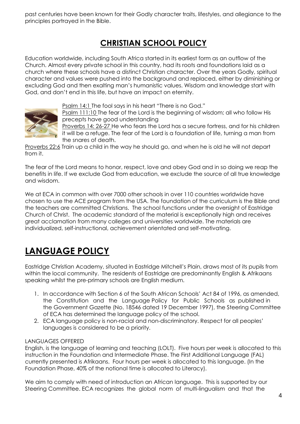past centuries have been known for their Godly character traits, lifestyles, and allegiance to the principles portrayed in the Bible.

## **CHRISTIAN SCHOOL POLICY**

Education worldwide, including South Africa started in its earliest form as an outflow of the Church. Almost every private school in this country, had its roots and foundations laid as a church where these schools have a distinct Christian character. Over the years Godly, spiritual character and values were pushed into the background and replaced, either by diminishing or excluding God and then exalting man's humanistic values. Wisdom and knowledge start with God, and don't end in this life, but have an impact on eternity.



Psalm 14:1 The fool says in his heart "There is no God."

Psalm 111:10 The fear of the Lord is the beginning of wisdom; all who follow His precepts have good understanding

Proverbs 14: 26-27 He who fears the Lord has a secure fortress, and for his children it will be a refuge. The fear of the Lord is a foundation of life, turning a man from the snares of death.

Proverbs 22:6 Train up a child in the way he should go, and when he is old he will not depart from it.

The fear of the Lord means to honor, respect, love and obey God and in so doing we reap the benefits in life. If we exclude God from education, we exclude the source of all true knowledge and wisdom.

We at ECA in common with over 7000 other schools in over 110 countries worldwide have chosen to use the ACE program from the USA. The foundation of the curriculum is the Bible and the teachers are committed Christians. The school functions under the oversight of Eastridge Church of Christ. The academic standard of the material is exceptionally high and receives great acclamation from many colleges and universities worldwide. The materials are individualized, self-instructional, achievement orientated and self-motivating.

## **LANGUAGE POLICY**

Eastridge Christian Academy, situated in Eastridge Mitchell's Plain, draws most of its pupils from within the local community. The residents of Eastridge are predominantly English & Afrikaans speaking whilst the pre-primary schools are English medium.

- 1. In accordance with Section 6 of the South African Schools' Act 84 of 1996, as amended, the Constitution and the Language Policy for Public Schools as published in the Government Gazette (No. 18546 dated 19 December 1997), the Steering Committee of ECA has determined the language policy of the school.
- 2. ECA language policy is non-racial and non-discriminatory. Respect for all peoples' languages is considered to be a priority.

#### LANGUAGES OFFERED

English, is the language of learning and teaching (LOLT). Five hours per week is allocated to this instruction in the Foundation and Intermediate Phase. The First Additional Language (FAL) currently presented is Afrikaans. Four hours per week is allocated to this language. (In the Foundation Phase, 40% of the notional time is allocated to Literacy).

We aim to comply with need of introduction an African language. This is supported by our Steering Committee. ECA recognizes the global norm of multi-lingualism and that the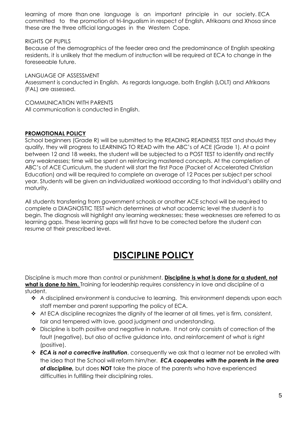learning of more than one language is an important principle in our society. ECA committed to the promotion of tri-lingualism in respect of English, Afrikaans and Xhosa since these are the three official languages in the Western Cape.

RIGHTS OF PUPILS

Because of the demographics of the feeder area and the predominance of English speaking residents, it is unlikely that the medium of instruction will be required at ECA to change in the foreseeable future.

LANGUAGE OF ASSESSMENT Assessment is conducted in English. As regards language, both English (LOLT) and Afrikaans (FAL) are assessed.

COMMUNICATION WITH PARENTS All communication is conducted in English.

#### **PROMOTIONAL POLICY**

School beginners (Grade R) will be submitted to the READING READINESS TEST and should they qualify, they will progress to LEARNING TO READ with the ABC's of ACE (Grade 1). At a point between 12 and 18 weeks, the student will be subjected to a POST TEST to identify and rectify any weaknesses; time will be spent on reinforcing mastered concepts. At the completion of ABC's of ACE Curriculum, the student will start the first Pace (Packet of Accelerated Christian Education) and will be required to complete an average of 12 Paces per subject per school year. Students will be given an individualized workload according to that individual's ability and maturity.

All students transferring from government schools or another ACE school will be required to complete a DIAGNOSTIC TEST which determines at what academic level the student is to begin. The diagnosis will highlight any learning weaknesses; these weaknesses are referred to as learning gaps. These learning gaps will first have to be corrected before the student can resume at their prescribed level.

## **DISCIPLINE POLICY**

Discipline is much more than control or punishment. **Discipline is what is done** *for* **a student, not what is done** *to* **him.** Training for leadership requires consistency in love and discipline of a student.

- \* A disciplined environment is conducive to learning. This environment depends upon each staff member and parent supporting the policy of ECA.
- At ECA discipline recognizes the dignity of the learner at all times, yet is firm, consistent, fair and tempered with love, good judgment and understanding.
- Discipline is both positive and negative in nature. It not only consists of correction of the fault (negative), but also of active guidance into, and reinforcement of what is right (positive).
- *ECA is not a corrective institution*, consequently we ask that a learner not be enrolled with the idea that the School will reform him/her. *ECA cooperates with the parents in the area of discipline,* but does **NOT** take the place of the parents who have experienced difficulties in fulfilling their disciplining roles.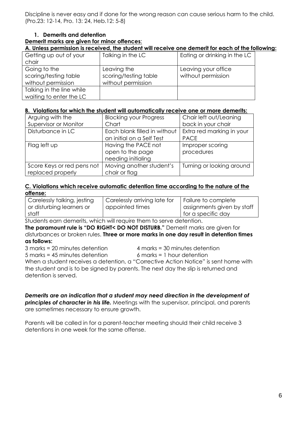Discipline is never easy and if done for the wrong reason can cause serious harm to the child. (Pro.23: 12-14, Pro. 13: 24, Heb.12: 5-8)

#### **1. Demerits and detention**

#### **Demerit marks are given for minor offences**:

**A. Unless permission is received, the student will receive one demerit for each of the following:**

| Getting up out of your    | Talking in the LC     | Eating or drinking in the LC |
|---------------------------|-----------------------|------------------------------|
| chair                     |                       |                              |
| Going to the              | Leaving the           | Leaving your office          |
| scoring/testing table     | scoring/testing table | without permission           |
| without permission        | without permission    |                              |
| Talking in the line while |                       |                              |
| waiting to enter the LC   |                       |                              |

#### **B. Violations for which the student will automatically receive one or more demerits:**

| Arguing with the           | <b>Blocking your Progress</b> | Chair left out/Leaning    |
|----------------------------|-------------------------------|---------------------------|
| Supervisor or Monitor      | Chart                         | back in your chair        |
| Disturbance in LC          | Each blank filled in without  | Extra red marking in your |
|                            | an initial on a Self Test     | <b>PACE</b>               |
| Flag left up               | Having the PACE not           | Improper scoring          |
|                            | open to the page              | procedures                |
|                            | needing initialing            |                           |
| Score Keys or red pens not | Moving another student's      | Turning or looking around |
| replaced properly          | chair or flag                 |                           |

#### **C. Violations which receive automatic detention time according to the nature of the offense:**

| Carelessly talking, jesting | Carelessly arriving late for | Failure to complete        |
|-----------------------------|------------------------------|----------------------------|
| or disturbing learners or   | appointed times              | assignments given by staff |
| staff                       |                              | I for a specific day       |

Students earn demerits, which will require them to serve detention.

**The paramount rule is "DO RIGHT< DO NOT DISTURB."** Demerit marks are given for disturbances or broken rules. **Three or more marks in one day result in detention times as follows:**

3 marks = 20 minutes detention 4 marks = 30 minutes detention

5 marks = 45 minutes detention 6 marks = 1 hour detention

When a student receives a detention, a "Corrective Action Notice" is sent home with the student and is to be signed by parents. The next day the slip is returned and detention is served.

*Demerits are an indication that a student may need direction in the development of principles of character in his life.* Meetings with the supervisor, principal, and parents are sometimes necessary to ensure growth.

Parents will be called in for a parent-teacher meeting should their child receive 3 detentions in one week for the same offense.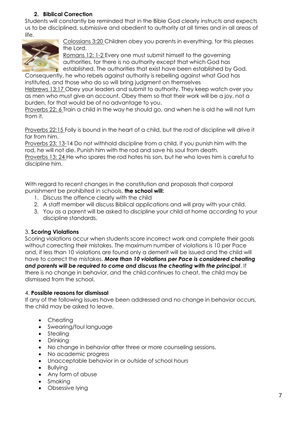#### **2. Biblical Correction**

Students will constantly be reminded that in the Bible God clearly instructs and expects us to be disciplined, submissive and obedient to authority at all times and in all areas of life.



Colossians 3:20 Children obey you parents in everything, for this pleases the Lord.

Romans 12: 1-2 Every one must submit himself to the governing authorities, for there is no authority except that which God has established. The authorities that exist have been established by God.

Consequently, he who rebels against authority is rebelling against what God has instituted, and those who do so will bring judgment on themselves

Hebrews 13:17 Obey your leaders and submit to authority. They keep watch over you as men who must give an account. Obey them so that their work will be a joy, not a burden, for that would be of no advantage to you.

Proverbs 22: 6 Train a child in the way he should go, and when he is old he will not turn from it.

Proverbs 22:15 Folly is bound in the heart of a child, but the rod of discipline will drive it far from him.

Proverbs 23: 13-14 Do not withhold discipline from a child, if you punish him with the rod, he will not die. Punish him with the rod and save his soul from death.

Proverbs 13: 24 He who spares the rod hates his son, but he who loves him is careful to discipline him.

With regard to recent changes in the constitution and proposals that corporal punishment be prohibited in schools, **the school will:**

- 1. Discuss the offence clearly with the child
- 2. A staff member will discuss Biblical applications and will pray with your child.
- 3. You as a parent will be asked to discipline your child at home according to your discipline standards.

#### 3. **Scoring Violations**

Scoring violations occur when students score incorrect work and complete their goals without correcting their mistakes. The maximum number of violations is 10 per Pace and, if less than 10 violations are found only a demerit will be issued and the child will have to correct the mistakes. *More than 10 violations per Pace is considered cheating and parents will be required to come and discuss the cheating with the principal*. If there is no change in behavior, and the child continues to cheat, the child may be dismissed from the school.

#### 4. **Possible reasons for dismissal**

If any of the following issues have been addressed and no change in behavior occurs, the child may be asked to leave.

- Cheating
- Swearing/foul language
- Stealing
- Drinking
- No change in behavior after three or more counseling sessions.
- No academic progress
- Unacceptable behavior in or outside of school hours
- Bullying
- Any form of abuse
- Smoking
- Obsessive lying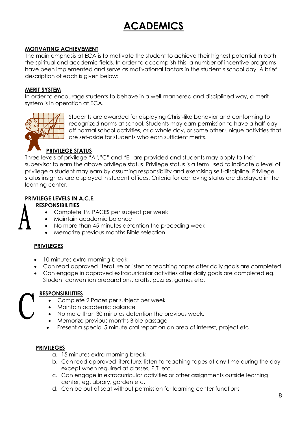## **ACADEMICS**

#### **MOTIVATING ACHIEVEMENT**

The main emphasis at ECA is to motivate the student to achieve their highest potential in both the spiritual and academic fields. In order to accomplish this, a number of incentive programs have been implemented and serve as motivational factors in the student's school day. A brief description of each is given below:

#### **MERIT SYSTEM**

In order to encourage students to behave in a well-mannered and disciplined way, a merit system is in operation at ECA.



Students are awarded for displaying Christ-like behavior and conforming to recognized norms at school. Students may earn permission to have a half-day off normal school activities, or a whole day, or some other unique activities that are set-aside for students who earn sufficient merits.

#### **PRIVILEGE STATUS**

Three levels of privilege "A","C" and "E" are provided and students may apply to their supervisor to earn the above privilege status. Privilege status is a term used to indicate a level of privilege a student may earn by assuming responsibility and exercising self-discipline. Privilege status insignias are displayed in student offices. Criteria for achieving status are displayed in the learning center.

#### **PRIVILEGE LEVELS IN A.C.E.**

#### **RESPONSIBILITIES**

- Complete 1<sup>1</sup>/<sub>2</sub> PACES per subject per week
- Maintain academic balance
- No more than 45 minutes detention the preceding week
- Memorize previous months Bible selection

#### **PRIVILEGES**

- 10 minutes extra morning break
- Can read approved literature or listen to teaching tapes after daily goals are completed
- Can engage in approved extracurricular activities after daily goals are completed eg. Student convention preparations, crafts, puzzles, games etc.

#### **RESPONSIBILITIES**

- Complete 2 Paces per subject per week
- Maintain academic balance
- No more than 30 minutes detention the previous week.
- Memorize previous months Bible passage
- Present a special 5 minute oral report on an area of interest, project etc.

#### **PRIVILEGES**

- a. 15 minutes extra morning break
- b. Can read approved literature; listen to teaching tapes at any time during the day except when required at classes, P.T. etc.
- c. Can engage in extracurricular activities or other assignments outside learning center, eg. Library, garden etc.
- d. Can be out of seat without permission for learning center functions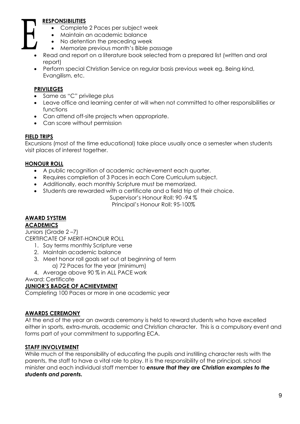#### **RESPONSIBILITIES**

- Complete 2 Paces per subject week
- Maintain an academic balance
- No detention the preceding week
- Memorize previous month's Bible passage
- Read and report on a literature book selected from a prepared list (written and oral report)
- Perform special Christian Service on regular basis previous week eg. Being kind, Evangilism, etc.

#### **PRIVILEGES**

- Same as "C" privilege plus
- Leave office and learning center at will when not committed to other responsibilities or functions
- Can attend off-site projects when appropriate.
- Can score without permission

#### **FIELD TRIPS**

Excursions (most of the time educational) take place usually once a semester when students visit places of interest together.

#### **HONOUR ROLL**

- A public recognition of academic achievement each quarter.
- Requires completion of 3 Paces in each Core Curriculum subject.
- Additionally, each monthly Scripture must be memorized.
- Students are rewarded with a certificate and a field trip of their choice.

Supervisor's Honour Roll: 90 -94 %

Principal's Honour Roll: 95-100%

#### **AWARD SYSTEM**

#### **ACADEMICS**

Juniors (Grade 2 –7)

- CERTIFICATE OF MERIT-HONOUR ROLL 1. Say terms monthly Scripture verse
	- 2. Maintain academic balance
	- 3. Meet honor roll goals set out at beginning of term a) 72 Paces for the year (minimum)
	- 4. Average above 90 % in ALL PACE work

Award: Certificate

#### **JUNIOR'S BADGE OF ACHIEVEMENT**

Completing 100 Paces or more in one academic year

#### **AWARDS CEREMONY**

At the end of the year an awards ceremony is held to reward students who have excelled either in sports, extra-murals, academic and Christian character. This is a compulsory event and forms part of your commitment to supporting ECA.

#### **STAFF INVOLVEMENT**

While much of the responsibility of educating the pupils and instilling character rests with the parents, the staff to have a vital role to play. It is the responsibility of the principal, school minister and each individual staff member to *ensure that they are Christian examples to the students and parents.*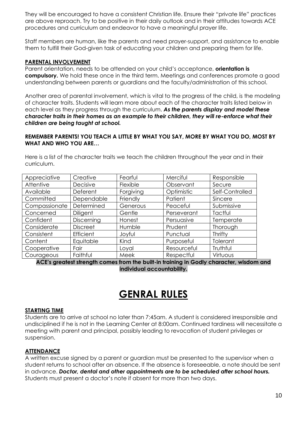They will be encouraged to have a consistent Christian life. Ensure their "private life" practices are above reproach. Try to be positive in their daily outlook and in their attitudes towards ACE procedures and curriculum and endeavor to have a meaningful prayer life.

Staff members are human, like the parents and need prayer-support, and assistance to enable them to fulfill their God-given task of educating your children and preparing them for life.

#### **PARENTAL INVOLVEMENT**

Parent orientation, needs to be attended on your child's acceptance, **orientation is compulsory.** We hold these once in the third term. Meetings and conferences promote a good understanding between parents or guardians and the faculty/administration of this school.

Another area of parental involvement, which is vital to the progress of the child, is the modeling of character traits. Students will learn more about each of the character traits listed below in each level as they progress through the curriculum. *As the parents display and model these character traits in their homes as an example to their children, they will re-enforce what their children are being taught at school.* 

#### **REMEMBER PARENTS! YOU TEACH A LITTLE BY WHAT YOU SAY, MORE BY WHAT YOU DO, MOST BY WHAT AND WHO YOU ARE…**

Here is a list of the character traits we teach the children throughout the year and in their curriculum.

| Appreciative  | Creative        | Fearful   | Merciful    | Responsible     |
|---------------|-----------------|-----------|-------------|-----------------|
| Attentive     | Decisive        | Flexible  | Observant   | Secure          |
| Available     | Deferent        | Forgiving | Optimistic  | Self-Controlled |
| Committed     | Dependable      | Friendly  | Patient     | Sincere         |
| Compassionate | Determined      | Generous  | Peaceful    | Submissive      |
| Concerned     | <b>Diligent</b> | Gentle    | Perseverant | Tactful         |
| Confident     | Discerning      | Honest    | Persuasive  | Temperate       |
| Considerate   | <b>Discreet</b> | Humble    | Prudent     | Thorough        |
| Consistent    | Efficient       | Joyful    | Punctual    | Thrifty         |
| Content       | Equitable       | Kind      | Purposeful  | Tolerant        |
| Cooperative   | Fair            | Loyal     | Resourceful | Truthful        |
| Courageous    | Faithful        | Meek      | Respectful  | Virtuous        |

**ACE's greatest strength comes from the built-in training in Godly character, wisdom and individual accountability.**

## **GENRAL RULES**

#### **STARTING TIME**

Students are to arrive at school no later than 7:45am. A student is considered irresponsible and undisciplined if he is not in the Learning Center at 8:00am. Continued tardiness will necessitate a meeting with parent and principal, possibly leading to revocation of student privileges or suspension.

#### **ATTENDANCE**

A written excuse signed by a parent or guardian must be presented to the supervisor when a student returns to school after an absence. If the absence is foreseeable, a note should be sent in advance. *Doctor, dental and other appointments are to be scheduled after school hours.* Students must present a doctor's note if absent for more than two days.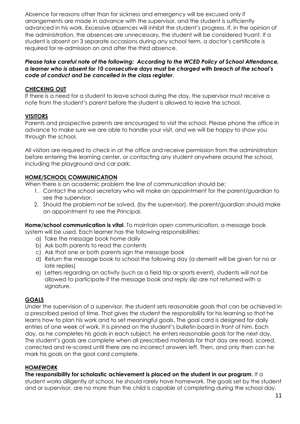Absence for reasons other than for sickness and emergency will be excused only if arrangements are made in advance with the supervisor, and the student is sufficiently advanced in his work. Excessive absences will inhibit the student's progress. If, in the opinion of the administration, the absences are unnecessary, the student will be considered truant. If a student is absent on 3 separate occasions during any school term, a doctor's certificate is required for re-admission on and after the third absence.

#### *Please take careful note of the following: According to the WCED Policy of School Attendance, a learner who is absent for 10 consecutive days must be charged with breach of the school's code of conduct and be cancelled in the class register*.

#### **CHECKING OUT**

If there is a need for a student to leave school during the day, the supervisor must receive a note from the student's parent before the student is allowed to leave the school.

#### **VISITORS**

Parents and prospective parents are encouraged to visit the school. Please phone the office in advance to make sure we are able to handle your visit, and we will be happy to show you through the school.

All visitors are required to check in at the office and receive permission from the administration before entering the learning center, or contacting any student anywhere around the school, including the playground and car park.

#### **HOME/SCHOOL COMMUNICATION**

When there is an academic problem the line of communication should be:

- 1. Contact the school secretary who will make an appointment for the parent/guardian to see the supervisor.
- 2. Should the problem not be solved, (by the supervisor), the parent/guardian should make an appointment to see the Principal.

**Home/school communication is vital**. To maintain open communication, a message book system will be used. Each learner has the following responsibilities:

- a) Take the message book home daily
- b) Ask both parents to read the contents
- c) Ask that one or both parents sign the message book
- d) Return the message book to school the following day (a demerit will be given for no or late replies)
- e) Letters regarding an activity (such as a field trip or sports event), students will not be allowed to participate if the message book and reply slip are not returned with a signature.

#### **GOALS**

Under the supervision of a supervisor, the student sets reasonable goals that can be achieved in a prescribed period of time. That gives the student the responsibility for his learning so that he learns how to plan his work and to set meaningful goals. The goal card is designed for daily entries of one week of work. It is pinned on the student's bulletin board in front of him. Each day, as he completes his goals in each subject, he enters reasonable goals for the next day. The student's goals are complete when all prescribed materials for that day are read, scored, corrected and re-scored until there are no incorrect answers left. Then, and only then can he mark his goals on the goal card complete.

#### **HOMEWORK**

**The responsibility for scholastic achievement is placed on the student in our program**. If a

student works diligently at school, he should rarely have homework. The goals set by the student and or supervisor, are no more than the child is capable of completing during the school day.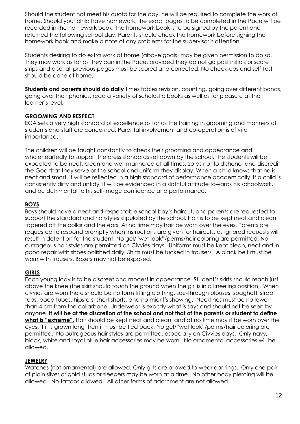Should the student not meet his quota for the day, he will be required to complete the work at home. Should your child have homework, the exact pages to be completed in the Pace will be recorded in the homework book. The homework book is to be signed by the parent and returned the following school day. Parents should check the homework before signing the homework book and make a note of any problems for the supervisor's attention

Students desiring to do extra work at home (above goals) may be given permission to do so. They may work as far as they can in the Pace, provided they do not go past initials or score strips and also, all previous pages must be scored and corrected. No check-ups and self Test should be done at home.

**Students and parents should do daily** times tables revision, counting, going over different bonds, going over their phonics, read a variety of scholastic books as well as for pleasure at the learner's level.

#### **GROOMING AND RESPECT**

ECA sets a very high standard of excellence as far as the training in grooming and manners of students and staff are concerned. Parental involvement and co-operation is of vital importance.

The children will be taught constantly to check their grooming and appearance and wholeheartedly to support the dress standards set down by the school. The students will be expected to be neat, clean and well mannered at all times. So as not to dishonor and discredit the God that they serve or the school and uniform they display. When a child knows that he is neat and smart, it will be reflected in a high standard of performance academically. If a child is consistently dirty and untidy, it will be evidenced in a slothful attitude towards his schoolwork, and be detrimental to his self-image confidence and performance.

#### **BOYS**

Boys should have a neat and respectable school boy's haircut, and parents are requested to support the standard and hairstyles stipulated by the school. Hair is to be kept neat and clean, tapered off the collar and the ears. At no time may hair be worn over the eyes. Parents are requested to respond promptly when instructions are given for haircuts, as ignored requests will result in detention for the student. No gel/"wet look"/perms/hair coloring are permitted, No outrageous hair styles are permitted on Civvies days. Uniforms must be kept clean, neat and in good repair with shoes polished daily. Shirts must be tucked in trousers. A black belt must be worn with trousers. Boxers may not be exposed.

#### **GIRLS**

Each young lady is to be discreet and modest in appearance. Student's skirts should reach just above the knee (the skirt should touch the ground when the girl is in a kneeling position). When civvies are worn there should be no form fitting clothing, see-through blouses, spaghetti strap tops, boop tubes, hipsters, short shorts, and no midriffs showing. Necklines must be no lower than 4 cm from the collarbone. Underwear is exactly what is says and should not be seen by anyone. **It will be at the discretion of the school and not that of the parents or student to define what is "extreme".** Hair should be kept neat and clean, and at no time may it be worn over the eyes. If it is grown long then it must be tied back. No gel/"wet look"/perms/hair coloring are permitted. No outrageous hair styles are permitted, especially on Civvies days. Only navy, black, white and royal blue hair accessories may be worn. No ornamental accessories will be allowed.

#### **JEWELRY**

Watches (not ornamental) are allowed. Only girls are allowed to wear ear rings. Only one pair of plain silver or gold studs or sleepers may be worn at a time. No other body piercing will be allowed. No tattoos allowed. All other forms of adornment are not allowed.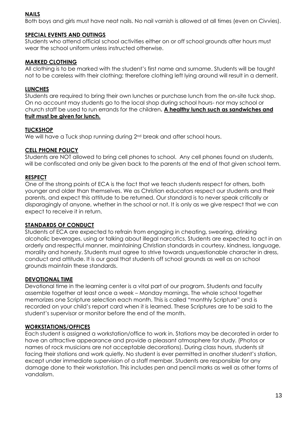#### **NAILS**

Both boys and girls must have neat nails. No nail varnish is allowed at all times (even on Civvies).

#### **SPECIAL EVENTS AND OUTINGS**

Students who attend official school activities either on or off school grounds after hours must wear the school uniform unless instructed otherwise.

#### **MARKED CLOTHING**

All clothing is to be marked with the student's first name and surname. Students will be taught not to be careless with their clothing; therefore clothing left lying around will result in a demerit.

#### **LUNCHES**

Students are required to bring their own lunches or purchase lunch from the on-site tuck shop. On no account may students go to the local shop during school hours- nor may school or church staff be used to run errands for the children**. A healthy lunch such as sandwiches and fruit must be given for lunch.**

#### **TUCKSHOP**

We will have a Tuck shop running during 2<sup>nd</sup> break and after school hours.

#### **CELL PHONE POLICY**

Students are NOT allowed to bring cell phones to school. Any cell phones found on students, will be confiscated and only be given back to the parents at the end of that given school term.

#### **RESPECT**

One of the strong points of ECA is the fact that we teach students respect for others, both younger and older than themselves. We as Christian educators respect our students and their parents, and expect this attitude to be returned. Our standard is to never speak critically or disparagingly of anyone, whether in the school or not. It is only as we give respect that we can expect to receive it in return.

#### **STANDARDS OF CONDUCT**

Students of ECA are expected to refrain from engaging in cheating, swearing, drinking alcoholic beverages, using or talking about illegal narcotics. Students are expected to act in an orderly and respectful manner, maintaining Christian standards in courtesy, kindness, language, morality and honesty. Students must agree to strive towards unquestionable character in dress, conduct and attitude. It is our goal that students off school grounds as well as on school grounds maintain these standards.

#### **DEVOTIONAL TIME**

Devotional time in the learning center is a vital part of our program. Students and faculty assemble together at least once a week – Monday mornings. The whole school together memorizes one Scripture selection each month. This is called "monthly Scripture" and is recorded on your child's report card when it is learned. These Scriptures are to be said to the student's supervisor or monitor before the end of the month.

#### **WORKSTATIONS/OFFICES**

Each student is assigned a workstation/office to work in. Stations may be decorated in order to have an attractive appearance and provide a pleasant atmosphere for study. (Photos or names of rock musicians are not acceptable decorations). During class hours, students sit facing their stations and work quietly. No student is ever permitted in another student's station, except under immediate supervision of a staff member. Students are responsible for any damage done to their workstation. This includes pen and pencil marks as well as other forms of vandalism.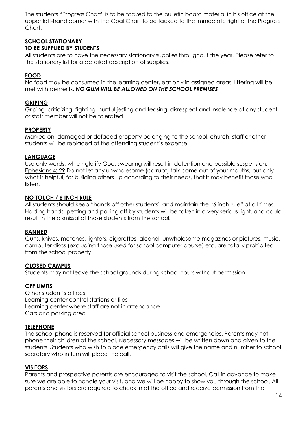The students "Progress Chart" is to be tacked to the bulletin board material in his office at the upper left-hand corner with the Goal Chart to be tacked to the immediate right of the Progress Chart.

#### **SCHOOL STATIONARY TO BE SUPPLIED BY STUDENTS**

All students are to have the necessary stationary supplies throughout the year. Please refer to the stationery list for a detailed description of supplies.

#### **FOOD**

No food may be consumed in the learning center, eat only in assigned areas, littering will be met with demerits. *NO GUM WILL BE ALLOWED ON THE SCHOOL PREMISES*

#### **GRIPING**

Griping, criticizing, fighting, hurtful jesting and teasing, disrespect and insolence at any student or staff member will not be tolerated.

#### **PROPERTY**

Marked on, damaged or defaced property belonging to the school, church, staff or other students will be replaced at the offending student's expense.

#### **LANGUAGE**

Use only words, which glorify God, swearing will result in detention and possible suspension. Ephesians 4: 29 Do not let any unwholesome (corrupt) talk come out of your mouths, but only what is helpful, for building others up according to their needs, that it may benefit those who listen.

#### **NO TOUCH / 6 INCH RULE**

All students should keep "hands off other students" and maintain the "6 inch rule" at all times. Holding hands, petting and pairing off by students will be taken in a very serious light, and could result in the dismissal of those students from the school.

#### **BANNED**

Guns, knives, matches, lighters, cigarettes, alcohol, unwholesome magazines or pictures, music, computer discs (excluding those used for school computer course) etc. are totally prohibited from the school property.

#### **CLOSED CAMPUS**

Students may not leave the school grounds during school hours without permission

#### **OFF LIMITS**

Other student's offices Learning center control stations or files Learning center where staff are not in attendance Cars and parking area

#### **TELEPHONE**

The school phone is reserved for official school business and emergencies. Parents may not phone their children at the school. Necessary messages will be written down and given to the students. Students who wish to place emergency calls will give the name and number to school secretary who in turn will place the call.

#### **VISITORS**

Parents and prospective parents are encouraged to visit the school. Call in advance to make sure we are able to handle your visit, and we will be happy to show you through the school. All parents and visitors are required to check in at the office and receive permission from the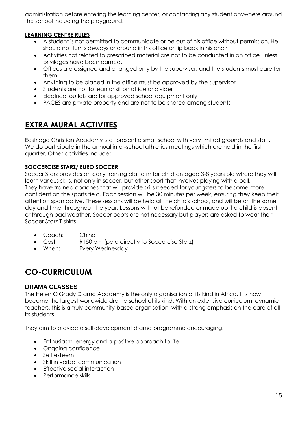administration before entering the learning center, or contacting any student anywhere around the school including the playground.

#### **LEARNING CENTRE RULES**

- A student is not permitted to communicate or be out of his office without permission. He should not turn sideways or around in his office or tip back in his chair
- Activities not related to prescribed material are not to be conducted in an office unless privileges have been earned.
- Offices are assigned and changed only by the supervisor, and the students must care for them
- Anything to be placed in the office must be approved by the supervisor
- Students are not to lean or sit on office or divider
- Electrical outlets are for approved school equipment only
- PACES are private property and are not to be shared among students

### **EXTRA MURAL ACTIVITES**

Eastridge Christian Academy is at present a small school with very limited grounds and staff. We do participate in the annual inter-school athletics meetings which are held in the first quarter. Other activities include:

#### **SOCCERCISE STARZ/ EURO SOCCER**

Soccer Starz provides an early training platform for children aged 3-8 years old where they will learn various skills, not only in soccer, but other sport that involves playing with a ball. They have trained coaches that will provide skills needed for youngsters to become more confident on the sports field. Each session will be 30 minutes per week, ensuring they keep their attention span active. These sessions will be held at the child's school, and will be on the same day and time throughout the year. Lessons will not be refunded or made up if a child is absent or through bad weather. Soccer boots are not necessary but players are asked to wear their Soccer Starz T-shirts.

- Coach: China
- Cost: R150 pm (paid directly to Soccercise Starz)
- When: Every Wednesday

## **CO-CURRICULUM**

#### **DRAMA CLASSES**

The Helen O'Grady Drama Academy is the only organisation of its kind in Africa. It is now become the largest worldwide drama school of its kind. With an extensive curriculum, dynamic teachers, this is a truly community-based organisation, with a strong emphasis on the care of all its students.

They aim to provide a self-development drama programme encouraging:

- Enthusiasm, energy and a positive approach to life
- Ongoing confidence
- Self esteem
- Skill in verbal communication
- Effective social interaction
- Performance skills